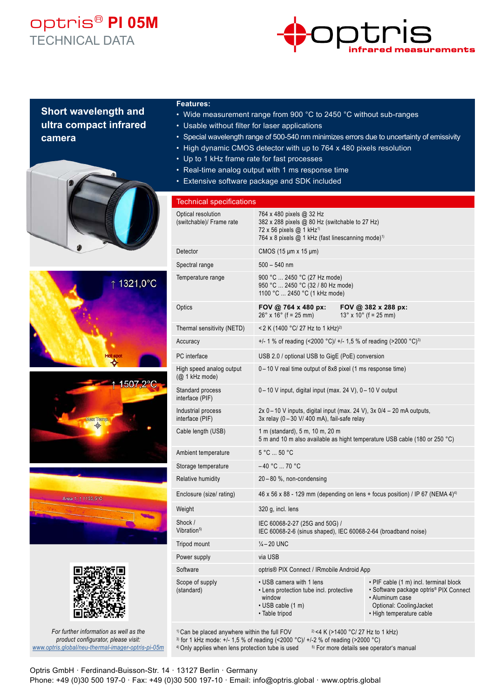## optris® **PI 05M** TECHNICAL DATA



### **Short wavelength and ultra compact infrared camera**











*For further information as well as the product configurator, please visit: www.optris.global/neu-thermal-imager-optris-pi-05m*

#### **Features:**

- Wide measurement range from 900 °C to 2450 °C without sub-ranges
- Usable without filter for laser applications
- Special wavelength range of 500-540 nm minimizes errors due to uncertainty of emissivity
- High dynamic CMOS detector with up to 764 x 480 pixels resolution
- Up to 1 kHz frame rate for fast processes
- Real-time analog output with 1 ms response time
- Extensive software package and SDK included

#### Technical specifications Optical resolution (switchable)/ Frame rate 764 x 480 pixels @ 32 Hz 382 x 288 pixels @ 80 Hz (switchable to 27 Hz) 72 x 56 pixels @ 1 kHz<sup>1)</sup>

|                                                         | 764 x 8 pixels $@$ 1 kHz (fast linescanning mode) <sup>1)</sup>                                                            |  |                                                                                                                                                            |
|---------------------------------------------------------|----------------------------------------------------------------------------------------------------------------------------|--|------------------------------------------------------------------------------------------------------------------------------------------------------------|
| Detector                                                | CMOS $(15 \mu m \times 15 \mu m)$                                                                                          |  |                                                                                                                                                            |
| Spectral range                                          | $500 - 540$ nm                                                                                                             |  |                                                                                                                                                            |
| Temperature range                                       | 900 °C  2450 °C (27 Hz mode)<br>950 °C  2450 °C (32 / 80 Hz mode)<br>1100 °C  2450 °C (1 kHz mode)                         |  |                                                                                                                                                            |
| Optics                                                  | FOV @ 764 x 480 px:<br>$26^{\circ}$ x $16^{\circ}$ (f = 25 mm)                                                             |  | FOV @ 382 x 288 px:<br>$13^{\circ}$ x 10 $^{\circ}$ (f = 25 mm)                                                                                            |
| Thermal sensitivity (NETD)                              | <2 K (1400 °C/ 27 Hz to 1 kHz) <sup>2)</sup>                                                                               |  |                                                                                                                                                            |
| Accuracy                                                | +/- 1 % of reading (<2000 °C)/ +/- 1,5 % of reading (>2000 °C) <sup>3)</sup>                                               |  |                                                                                                                                                            |
| PC interface                                            | USB 2.0 / optional USB to GigE (PoE) conversion                                                                            |  |                                                                                                                                                            |
| High speed analog output<br>(Q <sub>2</sub> 1 kHz mode) | 0-10 V real time output of 8x8 pixel (1 ms response time)                                                                  |  |                                                                                                                                                            |
| Standard process<br>interface (PIF)                     | 0-10 V input, digital input (max. 24 V), 0-10 V output                                                                     |  |                                                                                                                                                            |
| Industrial process<br>interface (PIF)                   | $2x 0 - 10$ V inputs, digital input (max. 24 V), $3x 0/4 - 20$ mA outputs,<br>3x relay (0-30 V/400 mA), fail-safe relay    |  |                                                                                                                                                            |
| Cable length (USB)                                      | 1 m (standard), 5 m, 10 m, 20 m<br>5 m and 10 m also available as hight temperature USB cable (180 or 250 °C)              |  |                                                                                                                                                            |
| Ambient temperature                                     | 5 °C  50 °C                                                                                                                |  |                                                                                                                                                            |
| Storage temperature                                     | $-40 °C  70 °C$                                                                                                            |  |                                                                                                                                                            |
| Relative humidity                                       | $20 - 80$ %, non-condensing                                                                                                |  |                                                                                                                                                            |
| Enclosure (size/ rating)                                | 46 x 56 x 88 - 129 mm (depending on lens + focus position) / IP 67 (NEMA 4) <sup>4)</sup>                                  |  |                                                                                                                                                            |
| Weight                                                  | 320 g, incl. lens                                                                                                          |  |                                                                                                                                                            |
| Shock /<br>Vibration <sup>5)</sup>                      | IEC 60068-2-27 (25G and 50G) /<br>IEC 60068-2-6 (sinus shaped), IEC 60068-2-64 (broadband noise)                           |  |                                                                                                                                                            |
| Tripod mount                                            | $\frac{1}{4} - 20$ UNC                                                                                                     |  |                                                                                                                                                            |
| Power supply                                            | via USB                                                                                                                    |  |                                                                                                                                                            |
| Software                                                | optris <sup>®</sup> PIX Connect / IRmobile Android App                                                                     |  |                                                                                                                                                            |
| Scope of supply<br>(standard)                           | • USB camera with 1 lens<br>• Lens protection tube incl. protective<br>window<br>$\cdot$ USB cable (1 m)<br>• Table tripod |  | • PIF cable (1 m) incl. terminal block<br>· Software package optris® PIX Connect<br>· Aluminum case<br>Optional: CoolingJacket<br>• High temperature cable |

<sup>1)</sup> Can be placed anywhere within the full FOV  $^{2}$  <4 K (>1400 °C/ 27 Hz to 1 kHz)

<sup>3)</sup> for 1 kHz mode:  $+/-$  1,5 % of reading (<2000 °C)/  $+/-2$  % of reading (>2000 °C)<br><sup>4)</sup> Only applies when lens protection tube is used <sup>5</sup> For more details see operator's manual

<sup>4)</sup> Only applies when lens protection tube is used